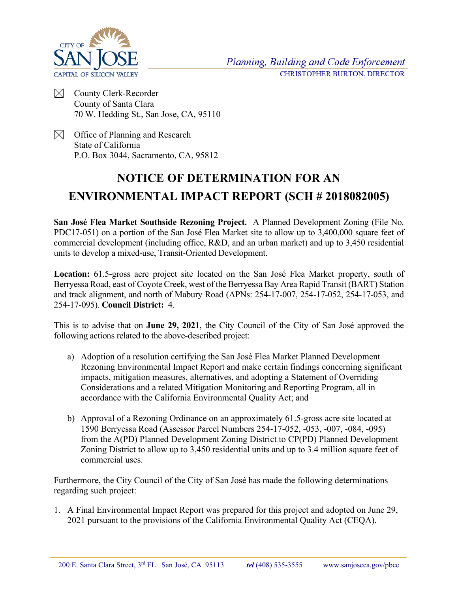

Planning, Building and Code Enforcement CHRISTOPHER BURTON, DIRECTOR

- $\bowtie$ County Clerk-Recorder County of Santa Clara 70 W. Hedding St., San Jose, CA, 95110
- $\boxtimes$  Office of Planning and Research State of California P.O. Box 3044, Sacramento, CA, 95812

## **NOTICE OF DETERMINATION FOR AN ENVIRONMENTAL IMPACT REPORT (SCH # 2018082005)**

**San José Flea Market Southside Rezoning Project.** A Planned Development Zoning (File No. PDC17-051) on a portion of the San José Flea Market site to allow up to 3,400,000 square feet of commercial development (including office, R&D, and an urban market) and up to 3,450 residential units to develop a mixed-use, Transit-Oriented Development.

**Location:** 61.5-gross acre project site located on the San José Flea Market property, south of Berryessa Road, east of Coyote Creek, west of the Berryessa Bay Area Rapid Transit (BART) Station and track alignment, and north of Mabury Road (APNs: 254-17-007, 254-17-052, 254-17-053, and 254-17-095). **Council District:** 4.

This is to advise that on **June 29, 2021**, the City Council of the City of San José approved the following actions related to the above-described project:

- a) Adoption of a resolution certifying the San José Flea Market Planned Development Rezoning Environmental Impact Report and make certain findings concerning significant impacts, mitigation measures, alternatives, and adopting a Statement of Overriding Considerations and a related Mitigation Monitoring and Reporting Program, all in accordance with the California Environmental Quality Act; and
- b) Approval of a Rezoning Ordinance on an approximately 61.5-gross acre site located at 1590 Berryessa Road (Assessor Parcel Numbers 254-17-052, -053, -007, -084, -095) from the A(PD) Planned Development Zoning District to CP(PD) Planned Development Zoning District to allow up to 3,450 residential units and up to 3.4 million square feet of commercial uses.

Furthermore, the City Council of the City of San José has made the following determinations regarding such project:

1. A Final Environmental Impact Report was prepared for this project and adopted on June 29, 2021 pursuant to the provisions of the California Environmental Quality Act (CEQA).